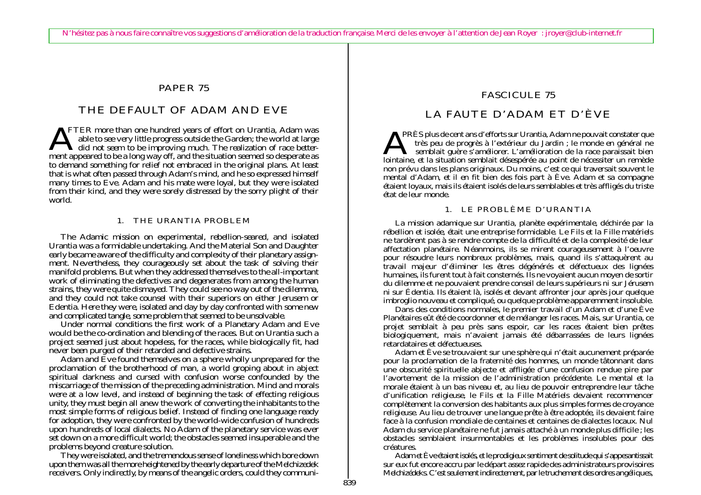# PAPER 75

# THE DEFAULT OF ADAM AND EVE

FTER more than one hundred years of effort on Urantia, Adam was able to see very little progress outside the Garden; the world at large **AFTER** more than one hundred years of effort on Urantia, Adam was able to see very little progress outside the Garden; the world at large did not seem to be improving much. The realization of race betterment appeared to be a long way off, and the situation seemed so desperate as to demand something for relief not embraced in the original plans. At least that is what often passed through Adam's mind, and he so expressed himself many times to Eve. Adam and his mate were loyal, but they were isolated from their kind, and they were sorely distressed by the sorry plight of their world.

# 1. THE URANTIA PROBLEM

The Adamic mission on experimental, rebellion-seared, and isolated Urantia was a formidable undertaking. And the Material Son and Daughter early became aware of the difficulty and complexity of their planetary assignment. Nevertheless, they courageously set about the task of solving their manifold problems. But when they addressed themselves to the all-important work of eliminating the defectives and degenerates from among the human strains, they were quite dismayed. They could see no way out of the dilemma, and they could not take counsel with their superiors on either Jerusem or Edentia. Here they were, isolated and day by day confronted with some new and complicated tangle, some problem that seemed to be unsolvable.

Under normal conditions the first work of a Planetary Adam and Eve would be the co-ordination and blending of the races. But on Urantia such a project seemed just about hopeless, for the races, while biologically fit, had never been purged of their retarded and defective strains.

Adam and Eve found themselves on a sphere wholly unprepared for the proclamation of the brotherhood of man, a world groping about in abject spiritual darkness and cursed with confusion worse confounded by the miscarriage of the mission of the preceding administration. Mind and morals were at a low level, and instead of beginning the task of effecting religious unity, they must begin all anew the work of converting the inhabitants to the most simple forms of religious belief. Instead of finding one language ready for adoption, they were confronted by the world-wide confusion of hundreds upon hundreds of local dialects. No Adam of the planetary service was ever set down on a more difficult world; the obstacles seemed insuperable and the problems beyond creature solution.

They were isolated, and the tremendous sense of loneliness which bore down upon them was all the more heightened by the early departure of the Melchizedek receivers. Only indirectly, by means of the angelic orders, could they communi-

# FASCICULE 75 LA FAUTE D'ADAM ET D'ÈVE

PRÈS plus de cent ans d'efforts sur Urantia, Adam ne pouvait constater que très peu de progrès à l'extérieur du Jardin ; le monde en général ne semblait guère s'améliorer. L'amélioration de la race paraissait bien lointaine, et la situation semblait désespérée au point de nécessiter un remède mental d'Adam, et il en fit bien des fois part à Ève. Adam et sa compagne étaient loyaux, mais ils étaient isolés de leurs semblables et très affligés du triste état de leur monde.  $\mathbf{A}^{\scriptscriptstyle{\mathrm{P}}}$ 

# 1. LE PROBLÈME D'URANTIA

La mission adamique sur Urantia, planète expérimentale, déchirée par la rébellion et isolée, était une entreprise formidable. Le Fils et la Fille matériels ne tardèrent pas à se rendre compte de la difficulté et de la complexité de leur affectation planétaire. Néanmoins, ils se mirent courageusement à l'oeuvre pour résoudre leurs nombreux problèmes, mais, quand ils s'attaquèrent au travail majeur d'éliminer les êtres dégénérés et défectueux des lignées humaines, ils furent tout à fait consternés. Ils ne voyaient aucun moyen de sortir ni sur Édentia. Ils étaient là, isolés et devant affronter jour après jour quelque<br>imbroglio nouveau et compliqué, ou quelque problème apparemment insoluble.

Dans des conditions normales, le premier travail d'un Adam et d'une Ève Planétaires eût été de coordonner et de mélanger les races. Mais, sur Urantia, ce projet semblait à peu près sans espoir, car les races étaient bien prêtes biologiquement, mais n'avaient jamais été débarrassées de leurs lignées retardataires et défectueuses.

Adam et Ève se trouvaient sur une sphère qui n'était aucunement préparée pour la proclamation de la fraternité des hommes, un monde tâtonnant dans une obscurité spirituelle abjecte et affligée d'une confusion rendue pire par l'avortement de la mission de l'administration précédente. Le mental et la morale étaient à un bas niveau et, au lieu de pouvoir entreprendre leur tâche d'unification religieuse, le Fils et la Fille Matériels devaient recommencer complètement la conversion des habitants aux plus simples formes de croyance religieuse. Au lieu de trouver une langue prête à être adoptée, ils devaient faire face à la confusion mondiale de centaines et centaines de dialectes locaux. Nul Adam du service planétaire ne fut jamais attaché à un monde plus difficile ; les obstacles semblaient insurmontables et les problèmes insolubles pour des créatures.

Adam et Ève étaient isolés, et le prodigieux sentiment de solitude qui s'appesantissait sur eux fut encore accru par le départ assez rapide des administrateurs provisoires Melchizédeks. C'est seulement indirectement, par le truchement des ordres angéliques,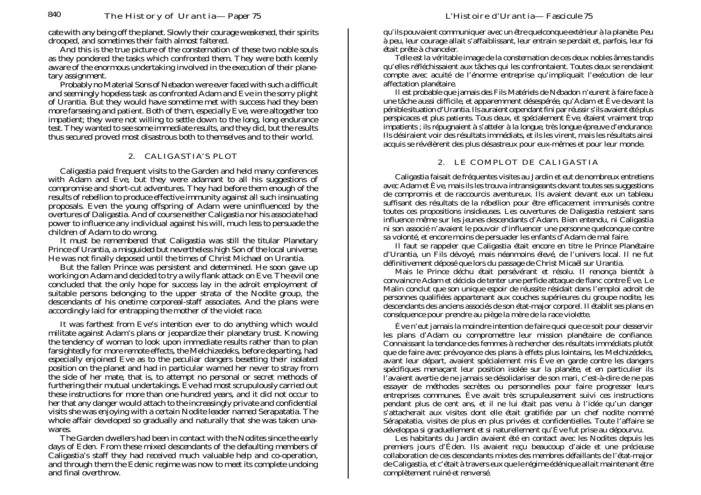cate with any being off the planet. Slowly their courage weakened, their spirits drooped, and sometimes their faith almost faltered.

And this is the true picture of the consternation of these two noble souls as they pondered the tasks which confronted them. They were both keenly aware of the enormous undertaking involved in the execution of their planetary assignment.

Probably no Material Sons of Nebadon were ever faced with such a difficult and seemingly hopeless task as confronted Adam and Eve in the sorry plight of Urantia. But they would have sometime met with success had they been more farseeing and *patient.* Both of them, especially Eve, were altogether too impatient; they were not willing to settle down to the long, long endurance test. They wanted to see some immediate results, and they did, but the results thus secured proved most disastrous both to themselves and to their world.

#### 2. CALIGASTIA'S PLOT

Caligastia paid frequent visits to the Garden and held many conferences with Adam and Eve, but they were adamant to all his suggestions of compromise and short-cut adventures. They had before them enough of the results of rebellion to produce effective immunity against all such insinuating proposals. Even the young offspring of Adam were uninfluenced by the overtures of Daligastia. And of course neither Caligastia nor his associate had power to influence any individual against his will, much less to persuade the children of Adam to do wrong.

It must be remembered that Caligastia was still the titular Planetary Prince of Urantia, a misguided but nevertheless high Son of the local universe. He was not finally deposed until the times of Christ Michael on Urantia.

But the fallen Prince was persistent and determined. He soon gave up working on Adam and decided to try a wily flank attack on Eve. The evil one concluded that the only hope for success lay in the adroit employment of suitable persons belonging to the upper strata of the Nodite group, the descendants of his onetime corporeal-staff associates. And the plans were accordingly laid for entrapping the mother of the violet race.

It was farthest from Eve's intention ever to do anything which would militate against Adam's plans or jeopardize their planetary trust. Knowing the tendency of woman to look upon immediate results rather than to plan farsightedly for more remote effects, the Melchizedeks, before departing, had especially enjoined Eve as to the peculiar dangers besetting their isolated position on the planet and had in particular warned her never to stray from the side of her mate, that is, to attempt no personal or secret methods of furthering their mutual undertakings. Eve had most scrupulously carried out these instructions for more than one hundred years, and it did not occur to her that any danger would attach to the increasingly private and confidential visits she was enjoying with a certain Nodite leader named Serapatatia. The whole affair developed so gradually and naturally that she was taken unawares.

The Garden dwellers had been in contact with the Nodites since the early days of Eden. From these mixed descendants of the defaulting members of Caligastia's staff they had received much valuable help and co-operation, and through them the Edenic regime was now to meet its complete undoing and final overthrow.

qu'ils pouvaient communiquer avec un être quelconque extérieur à la planète. Peu à peu, leur courage allait s'affaiblissant, leur entrain se perdait et, parfois, leur foi était prête à chanceler.

Telle est la véritable image de la consternation de ces deux nobles âmes tandis qu'elles réfléchissaient aux tâches qui les confrontaient. Toutes deux se rendaient compte avec acuité de l'énorme entreprise qu'impliquait l'exécution de leur affectation planétaire.

Il est probable que jamais des Fils Matériels de Nébadon n'eurent à faire face à une tâche aussi difficile, et apparemment désespérée, qu'Adam et Ève devant la pénible situation d'Urantia. Ils auraient cependant fini par réussir s'ils avaient été plus perspicaces et plus *patients.* Tous deux, et spécialement Ève, étaient vraiment trop impatients ; ils répugnaient à s'atteler à la longue, très longue épreuve d'endurance. Ils désiraient voir des résultats immédiats, et ils les virent, mais les résultats ainsi acquis se révélèrent des plus désastreux pour eux-mêmes et pour leur monde.

# 2. LE COMPLOT DE CALIGASTIA

Caligastia faisait de fréquentes visites au Jardin et eut de nombreux entretiens avec Adam et Ève, mais ils les trouva intransigeants devant toutes ses suggestions de compromis et de raccourcis aventureux. Ils avaient devant eux un tableau suffisant des résultats de la rébellion pour être efficacement immunisés contre toutes ces propositions insidieuses. Les ouvertures de Daligastia restaient sans influence même sur les jeunes descendants d'Adam. Bien entendu, ni Caligastia ni son associé n'avaient le pouvoir d'influencer une personne quelconque contre sa volonté, et encore moins de persuader les enfants d'Adam de mal faire.

Il faut se rappeler que Caligastia était encore en titre le Prince Planétaire d'Urantia, un Fils dévoyé, mais néanmoins élevé, de l'univers local. Il ne fut définitivement déposé que lors du passage de Christ Micaël sur Urantia.

Mais le Prince déchu était persévérant et résolu. Il renonça bientôt à convaincre Adam et décida de tenter une perfide attaque de flanc contre Ève. Le Malin conclut que son unique espoir de réussite résidait dans l'emploi adroit de personnes qualifiées appartenant aux couches supérieures du groupe nodite, les descendants des anciens associés de son état-major corporel. Il établit ses plans en conséquence pour prendre au piège la mère de la race violette.

Ève n'eut jamais la moindre intention de faire quoi que ce soit pour desservir les plans d'Adam ou compromettre leur mission planétaire de confiance. Connaissant la tendance des femmes à rechercher des résultats immédiats plutôt que de faire avec prévoyance des plans à effets plus lointains, les Melchizédeks, avant leur départ, avaient spécialement mis Ève en garde contre les dangers spécifiques menaçant leur position isolée sur la planète, et en particulier ils l'avaient avertie de ne jamais se désolidariser de son mari, c'est-à-dire de ne pas essayer de méthodes secrètes ou personnelles pour faire progresser leurs entreprises communes. Ève avait très scrupuleusement suivi ces instructions pendant plus de cent ans, et il ne lui était pas venu à l'idée qu'un danger s'attacherait aux visites dont elle était gratifiée par un chef nodite nommé<br>Sérapatatia, visites de plus en plus privées et confidentielles. Toute l'affaire se

développa si graduellement et si naturellement qu'Ève fut prise au dépourvu.<br>Les habitants du Jardin avaient été en contact avec les Nodites depuis les premiers jours d'Éden. Ils avaient reçu beaucoup d'aide et une précieuse collaboration de ces descendants mixtes des membres défaillants de l'état-major de Caligastia, et c'était à travers eux que le régime édénique allait maintenant être complètement ruiné et renversé.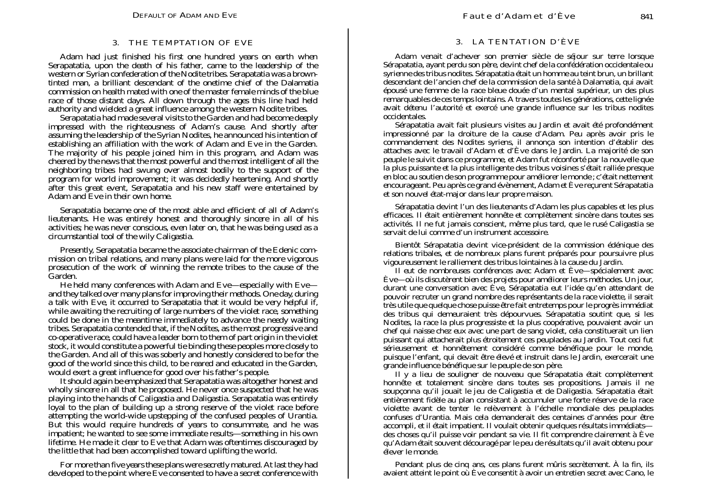# 3. THE TEMPTATION OF EVE

Adam had just finished his first one hundred years on earth when Serapatatia, upon the death of his father, came to the leadership of the western or Syrian confederation of the Nodite tribes. Serapatatia was a browntinted man, a brilliant descendant of the onetime chief of the Dalamatia commission on health mated with one of the master female minds of the blue race of those distant days. All down through the ages this line had held authority and wielded a great influence among the western Nodite tribes.

Serapatatia had made several visits to the Garden and had become deeply impressed with the righteousness of Adam's cause. And shortly after assuming the leadership of the Syrian Nodites, he announced his intention of establishing an affiliation with the work of Adam and Eve in the Garden. The majority of his people joined him in this program, and Adam was cheered by the news that the most powerful and the most intelligent of all the neighboring tribes had swung over almost bodily to the support of the program for world improvement; it was decidedly heartening. And shortly after this great event, Serapatatia and his new staff were entertained by Adam and Eve in their own home.

Serapatatia became one of the most able and efficient of all of Adam's lieutenants. He was entirely honest and thoroughly sincere in all of his activities; he was never conscious, even later on, that he was being used as a circumstantial tool of the wily Caligastia.

Presently, Serapatatia became the associate chairman of the Edenic commission on tribal relations, and many plans were laid for the more vigorous prosecution of the work of winning the remote tribes to the cause of the Garden.

He held many conferences with Adam and Eve—especially with Eve and they talked over many plans for improving their methods. One day, during a talk with Eve, it occurred to Serapatatia that it would be very helpful if, while awaiting the recruiting of large numbers of the violet race, something could be done in the meantime immediately to advance the needy waiting tribes. Serapatatia contended that, if the Nodites, as the most progressive and co-operative race, could have a leader born to them of part origin in the violet stock, it would constitute a powerful tie binding these peoples more closely to the Garden. And all of this was soberly and honestly considered to be for the good of the world since this child, to be reared and educated in the Garden, would exert a great influence for good over his father's people.

It should again be emphasized that Serapatatia was altogether honest and wholly sincere in all that he proposed. He never once suspected that he was playing into the hands of Caligastia and Daligastia. Serapatatia was entirely loyal to the plan of building up a strong reserve of the violet race before attempting the world-wide upstepping of the confused peoples of Urantia. But this would require hundreds of years to consummate, and he was impatient; he wanted to see some immediate results—something in his own lifetime. He made it clear to Eve that Adam was oftentimes discouraged by the little that had been accomplished toward uplifting the world.

For more than five years these plans were secretly matured. At last they had developed to the point where Eve consented to have a secret conference with

# 3. LA TENTATION D'ÈVE

Adam venait d'achever son premier siècle de séjour sur terre lorsque Sérapatatia, ayant perdu son père, devint chef de la confédération occidentale ou syrienne des tribus nodites. Sérapatatia était un homme au teint brun, un brillant descendant de l'ancien chef de la commission de la santé à Dalamatia, qui avait épousé une femme de la race bleue douée d'un mental supérieur, un des plus remarquables de ces temps lointains. A travers toutes les générations, cette lignée avait détenu l'autorité et exercé une grande influence sur les tribus nodites occidentales.

Sérapatatia avait fait plusieurs visites au Jardin et avait été profondément impressionné par la droiture de la cause d'Adam. Peu après avoir pris le commandement des Nodites syriens, il annonça son intention d'établir des attaches avec le travail d'Adam et d'Ève dans le Jardin. La majorité de son peuple le suivit dans ce programme, et Adam fut réconforté par la nouvelle que la plus puissante et la plus intelligente des tribus voisines s'était ralliée presque en bloc au soutien de son programme pour améliorer le monde ; c'était nettement encourageant. Peu après ce grand évènement, Adam et Ève reçurent Sérapatatia et son nouvel état-major dans leur propre maison.

Sérapatatia devint l'un des lieutenants d'Adam les plus capables et les plus efficaces. Il était entièrement honnête et complètement sincère dans toutes ses activités. Il ne fut jamais conscient, même plus tard, que le rusé Caligastia se servait de lui comme d'un instrument accessoire.

Bientôt Sérapatatia devint vice-président de la commission édénique des relations tribales, et de nombreux plans furent préparés pour poursuivre plus

vigoureusement le ralliement des tribus lointaines à la cause du Jardin.<br>Il eut de nombreuses conférences avec Adam et Ève—spécialement avec<br>Ève—où ils discutèrent bien des projets pour améliorer leurs méthodes. Un jour,<br>d pouvoir recruter un grand nombre des représentants de la race violette, il serait très utile que quelque chose puisse être fait entretemps pour le progrès immédiat des tribus qui demeuraient très dépourvues. Sérapatatia soutint que, si les Nodites, la race la plus progressiste et la plus coopérative, pouvaient avoir un chef qui naisse chez eux avec une part de sang violet, cela constituerait un lien puissant qui attacherait plus étroitement ces peuplades au Jardin. Tout ceci fut sérieusement et honnêtement considéré comme bénéfique pour le monde, puisque l'enfant, qui devait être élevé et instruit dans le Jardin, exercerait une grande influence bénéfique sur le peuple de son père.

Il y a lieu de souligner de nouveau que Sérapatatia était complètement honnête et totalement sincère dans toutes ses propositions. Jamais il ne soupçonna qu'il jouait le jeu de Caligastia et de Daligastia. Sérapatatia était entièrement fidèle au plan consistant à accumuler une forte réserve de la race violette avant de tenter le relèvement à l'échelle mondiale des peuplades confuses d'Urantia. Mais cela demanderait des centaines d'années pour être accompli, et il était impatient. Il voulait obtenir quelques résultats immédiats— des choses qu'il puisse voir pendant sa vie. Il fit comprendre clairement à Ève qu'Adam était souvent découragé par le peu de résultats qu'il avait obtenu pour élever le monde.

Pendant plus de cinq ans, ces plans furent mûris secrètement. <sup>À</sup> la fin, ils avaient atteint le point où Ève consentit à avoir un entretien secret avec Cano, le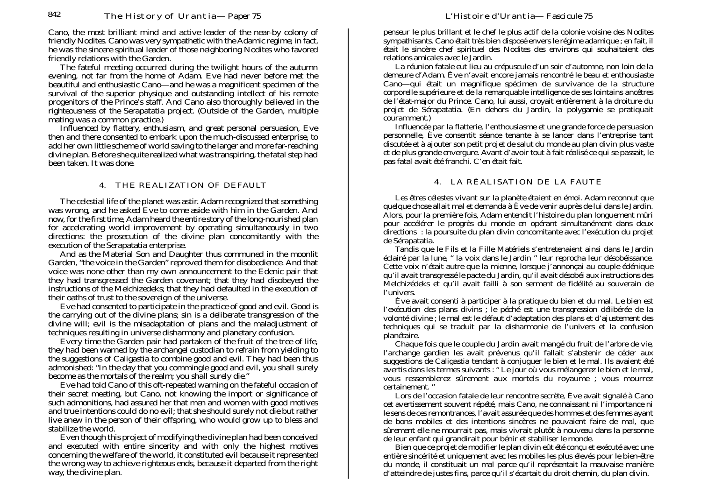Cano, the most brilliant mind and active leader of the near-by colony of friendly Nodites. Cano was very sympathetic with the Adamic regime; in fact, he was the sincere spiritual leader of those neighboring Nodites who favored friendly relations with the Garden.

The fateful meeting occurred during the twilight hours of the autumn evening, not far from the home of Adam. Eve had never before met the beautiful and enthusiastic Cano—and he was a magnificent specimen of the survival of the superior physique and outstanding intellect of his remote progenitors of the Prince's staff. And Cano also thoroughly believed in the righteousness of the Serapatatia project. (Outside of the Garden, multiple mating was a common practice.)

Influenced by flattery, enthusiasm, and great personal persuasion, Eve then and there consented to embark upon the much-discussed enterprise, to add her own little scheme of world saving to the larger and more far-reaching divine plan. Before she quite realized what was transpiring, the fatal step had been taken. It was done.

#### 4. THE REALIZATION OF DEFAULT

The celestial life of the planet was astir. Adam recognized that something was wrong, and he asked Eve to come aside with him in the Garden. And now, for the first time, Adam heard the entire story of the long-nourished plan for accelerating world improvement by operating simultaneously in two directions: the prosecution of the divine plan concomitantly with the execution of the Serapatatia enterprise.

And as the Material Son and Daughter thus communed in the moonlit Garden, "the voice in the Garden" reproved them for disobedience. And that voice was none other than my own announcement to the Edenic pair that they had transgressed the Garden covenant; that they had disobeyed the instructions of the Melchizedeks; that they had defaulted in the execution of their oaths of trust to the sovereign of the universe.

Eve had consented to participate in the practice of good and evil. Good is the carrying out of the divine plans; sin is a deliberate transgression of the divine will; evil is the misadaptation of plans and the maladjustment of techniques resulting in universe disharmony and planetary confusion.

Every time the Garden pair had partaken of the fruit of the tree of life, they had been warned by the archangel custodian to refrain from yielding to the suggestions of Caligastia to combine good and evil. They had been thus admonished: "In the day that you commingle good and evil, you shall surely become as the mortals of the realm; you shall surely die."

Eve had told Cano of this oft-repeated warning on the fateful occasion of their secret meeting, but Cano, not knowing the import or significance of such admonitions, had assured her that men and women with good motives and true intentions could do no evil; that she should surely not die but rather live anew in the person of their offspring, who would grow up to bless and stabilize the world.

Even though this project of modifying the divine plan had been conceived and executed with entire sincerity and with only the highest motives concerning the welfare of the world, it constituted evil because it represented the wrong way to achieve righteous ends, because it departed from the right way, the divine plan.

penseur le plus brillant et le chef le plus actif de la colonie voisine des Nodites sympathisants. Cano était très bien disposé envers le régime adamique ; en fait, il était le sincère chef spirituel des Nodites des environs qui souhaitaient des relations amicales avec le Jardin.

La réunion fatale eut lieu au crépuscule d'un soir d'automne, non loin de la demeure d'Adam. Ève n'avait encore jamais rencontré le beau et enthousiaste Cano—qui était un magnifique spécimen de survivance de la structure corporelle supérieure et de la remarquable intelligence de ses lointains ancêtres de l'état-major du Prince. Cano, lui aussi, croyait entièrement à la droiture du projet de Sérapatatia. (En dehors du Jardin, la polygamie se pratiquait couramment.)

Influencée par la flatterie, l'enthousiasme et une grande force de persuasion personnelle, Ève consentit séance tenante à se lancer dans l'entreprise tant discutée et à ajouter son petit projet de salut du monde au plan divin plus vaste et de plus grande envergure. Avant d'avoir tout à fait réalisé ce qui se passait, le pas fatal avait été franchi. C'en était fait.

#### 4. LA RÉALISATION DE LA FAUTE

Les êtres célestes vivant sur la planète étaient en émoi. Adam reconnut que quelque chose allait mal et demanda à Ève de venir auprès de lui dans le Jardin. Alors, pour la première fois, Adam entendit l'histoire du plan longuement mûri pour accélérer le progrès du monde en opérant simultanément dans deux directions : la poursuite du plan divin concomitante avec l'exécution du projet de Sérapatatia.

Tandis que le Fils et la Fille Matériels s'entretenaient ainsi dans le Jardin éclairé par la lune, " la voix dans le Jardin " leur reprocha leur désobéissance. Cette voix n'était autre que la mienne, lorsque j'annonçai au couple édénique qu'il avait transgressé le pacte du Jardin, qu'il avait désobéi aux instructions des Melchizédeks et qu'il avait failli à son serment de fidélité au souverain de l'univers.

Ève avait consenti à participer à la pratique du bien et du mal. Le bien est l'exécution des plans divins ; le péché est une transgression délibérée de la volonté divine ; le mal est le défaut d'adaptation des plans et d'ajustement des techniques qui se traduit par la disharmonie de l'univers et la confusion planétaire.

Chaque fois que le couple du Jardin avait mangé du fruit de l'arbre de vie, l'archange gardien les avait prévenus qu'il fallait s'abstenir de céder aux suggestions de Caligastia tendant à conjuguer le bien et le mal. Ils avaient été avertis dans les termes suivants : " Le jour où vous mélangerez le bien et le mal, vous ressemblerez sûrement aux mortels du royaume ; vous mourrez certainement. "

Lors de l'occasion fatale de leur rencontre secrète, Ève avait signalé à Cano cet avertissement souvent répété, mais Cano, ne connaissant ni l'importance ni le sens de ces remontrances, l'avait assurée que des hommes et des femmes ayant de bons mobiles et des intentions sincères ne pouvaient faire de mal, que sûrement elle ne mourrait pas, mais vivrait plutôt à nouveau dans la personne de leur enfant qui grandirait pour bénir et stabiliser le monde.

Bien que ce projet de modifier le plan divin eût été conçu et exécuté avec une entière sincérité et uniquement avec les mobiles les plus élevés pour le bien-être du monde, il constituait un mal parce qu'il représentait la mauvaise manière d'atteindre de justes fins, parce qu'il s'écartait du droit chemin, du plan divin.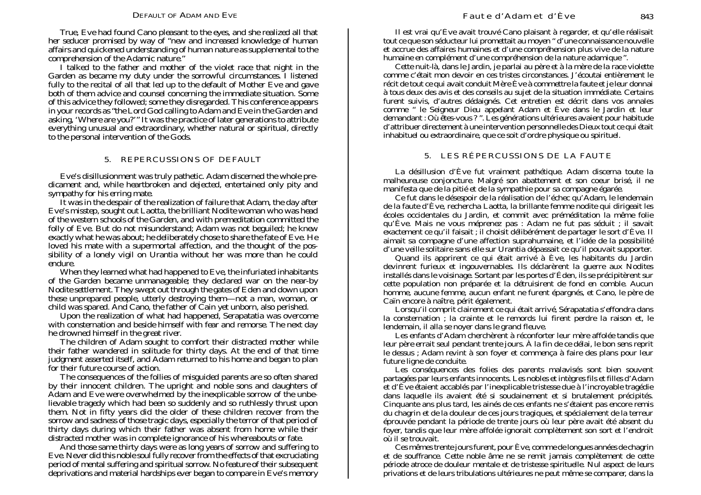True, Eve had found Cano pleasant to the eyes, and she realized all that her seducer promised by way of "new and increased knowledge of human affairs and quickened understanding of human nature as supplemental to the comprehension of the Adamic nature."

I talked to the father and mother of the violet race that night in the Garden as became my duty under the sorrowful circumstances. I listened fully to the recital of all that led up to the default of Mother Eve and gave both of them advice and counsel concerning the immediate situation. Some of this advice they followed; some they disregarded. This conference appears in your records as "the Lord God calling to Adam and Eve in the Garden and asking, 'Where are you?'" It was the practice of later generations to attribute everything unusual and extraordinary, whether natural or spiritual, directly to the personal intervention of the Gods.

#### 5. REPERCUSSIONS OF DEFAULT

Eve's disillusionment was truly pathetic. Adam discerned the whole predicament and, while heartbroken and dejected, entertained only pity and sympathy for his erring mate.

It was in the despair of the realization of failure that Adam, the day after Eve's misstep, sought out Laotta, the brilliant Nodite woman who was head of the western schools of the Garden, and with premeditation committed the folly of Eve. But do not misunderstand; Adam was not beguiled; he knew exactly what he was about; he deliberately chose to share the fate of Eve. He loved his mate with a supermortal affection, and the thought of the possibility of a lonely vigil on Urantia without her was more than he could endure.

When they learned what had happened to Eve, the infuriated inhabitants of the Garden became unmanageable; they declared war on the near-by Nodite settlement. They swept out through the gates of Eden and down upon these unprepared people, utterly destroying them—not a man, woman, or child was spared. And Cano, the father of Cain yet unborn, also perished.

Upon the realization of what had happened, Serapatatia was overcome with consternation and beside himself with fear and remorse. The next day he drowned himself in the great river.

The children of Adam sought to comfort their distracted mother while their father wandered in solitude for thirty days. At the end of that time judgment asserted itself, and Adam returned to his home and began to plan for their future course of action.

The consequences of the follies of misguided parents are so often shared by their innocent children. The upright and noble sons and daughters of Adam and Eve were overwhelmed by the inexplicable sorrow of the unbelievable tragedy which had been so suddenly and so ruthlessly thrust upon them. Not in fifty years did the older of these children recover from the sorrow and sadness of those tragic days, especially the terror of that period of thirty days during which their father was absent from home while their distracted mother was in complete ignorance of his whereabouts or fate.

And those same thirty days were as long years of sorrow and suffering to Eve. Never did this noble soul fully recover from the effects of that excruciating period of mental suffering and spiritual sorrow. No feature of their subsequent deprivations and material hardships ever began to compare in Eve's memory

Il est vrai qu'Ève avait trouvé Cano plaisant à regarder, et qu'elle réalisait tout ce que son séducteur lui promettait au moyen " d'une connaissance nouvelle et accrue des affaires humaines et d'une compréhension plus vive de la nature humaine en complément d'une compréhension de la nature adamique ".

Cette nuit-là, dans le Jardin, je parlai au père et à la mère de la race violette comme c'était mon devoir en ces tristes circonstances. J'écoutai entièrement le récit de tout ce qui avait conduit Mère Ève à commettre la faute et je leur donnai à tous deux des avis et des conseils au sujet de la situation immédiate. Certains furent suivis, d'autres dédaignés. Cet entretien est décrit dans vos annales comme " le Seigneur Dieu appelant Adam et Ève dans le Jardin et leur demandant : Où êtes-vous ? ". Les générations ultérieures avaient pour habitude d'attribuer directement à une intervention personnelle des Dieux tout ce qui était inhabituel ou extraordinaire, que ce soit d'ordre physique ou spirituel.

#### 5. LES RÉPERCUSSIONS DE LA FAUTE

La désillusion d'Ève fut vraiment pathétique. Adam discerna toute la malheureuse conjoncture. Malgré son abattement et son coeur brisé, il ne

manifesta que de la pitié et de la sympathie pour sa compagne égarée. de la faute d'Éve, rechercha Laotta, la brillante femme nodite qui dirigeait les écoles occidentales du Jardin, et commit avec préméditation la même folie qu'Ève. Mais ne vous méprenez pas : Adam ne fut pas séduit ; il savait exactement ce qu'il faisait ; il choisit délibérément de partager le sort d'Ève. Il aimait sa compagne d'une affection suprahumaine, et l'idée de la possibilité d'une veille solitaire sans elle sur Urantia dépassait ce qu'il pouvait supporter. Quand ils apprirent ce qui était arrivé à Ève, les habitants du Jardin

devinrent furieux et ingouvernables. Ils déclarèrent la guerre aux Nodites installés dans le voisinage. Sortant par les portes d'Éden, ils se précipitèrent sur cette population non préparée et la détruisirent de fond en comble. Aucun homme, aucune femme, aucun enfant ne furent épargnés, et Cano, le père de Caïn encore à naître, périt également.

Lorsqu'il comprit clairement ce qui était arrivé, Sérapatatia s'effondra dans la consternation ; la crainte et le remords lui firent perdre la raison et, le

lendemain, il alla se noyer dans le grand fleuve. leur père errait seul pendant trente jours. À la fin de ce délai, le bon sens reprit le dessus ; Adam revint à son foyer et commença à faire des plans pour leur future ligne de conduite.

Les conséquences des folies des parents malavisés sont bien souvent partagées par leurs enfants innocents. Les nobles et intègres fils et filles d'Adam et d'Eve étaient accablés par l'inexplicable tristesse due à l'incroyable tragédie dans laquelle ils avaient été si soudainement et si brutalement précipités. Cinquante ans plus tard, les ainés de ces enfants ne s'étaient pas encore remis du chagrin et de la douleur de ces jours tragiques, et spécialement de la terreur éprouvée pendant la période de trente jours où leur père avait été absent du foyer, tandis que leur mère affolée ignorait complètement son sort et l'endroit où il se trouvait.

Ces mêmes trente jours furent, pour Ève, comme de longues années de chagrin et de souffrance. Cette noble âme ne se remit jamais complètement de cette période atroce de douleur mentale et de tristesse spirituelle. Nul aspect de leurs privations et de leurs tribulations ultérieures ne peut même se comparer, dans la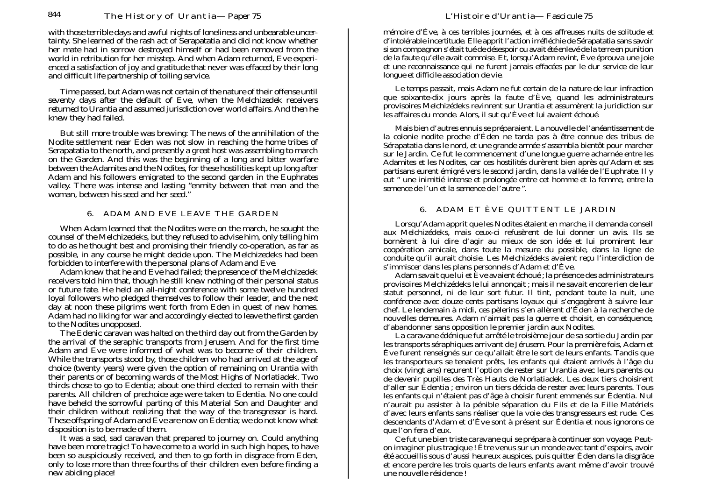with those terrible days and awful nights of loneliness and unbearable uncertainty. She learned of the rash act of Serapatatia and did not know whether her mate had in sorrow destroyed himself or had been removed from the world in retribution for her misstep. And when Adam returned, Eve experienced a satisfaction of joy and gratitude that never was effaced by their long and difficult life partnership of toiling service.

Time passed, but Adam was not certain of the nature of their offense until seventy days after the default of Eve, when the Melchizedek receivers returned to Urantia and assumed jurisdiction over world affairs. And then he knew they had failed.

But still more trouble was brewing: The news of the annihilation of the Nodite settlement near Eden was not slow in reaching the home tribes of Serapatatia to the north, and presently a great host was assembling to march on the Garden. And this was the beginning of a long and bitter warfare between the Adamites and the Nodites, for these hostilities kept up long after Adam and his followers emigrated to the second garden in the Euphrates valley. There was intense and lasting "enmity between that man and the woman, between his seed and her seed."

#### 6. ADAM AND EVE LEAVE THE GARDEN

When Adam learned that the Nodites were on the march, he sought the counsel of the Melchizedeks, but they refused to advise him, only telling him to do as he thought best and promising their friendly co-operation, as far as possible, in any course he might decide upon. The Melchizedeks had been forbidden to interfere with the personal plans of Adam and Eve.

Adam knew that he and Eve had failed; the presence of the Melchizedek receivers told him that, though he still knew nothing of their personal status or future fate. He held an all-night conference with some twelve hundred loyal followers who pledged themselves to follow their leader, and the next day at noon these pilgrims went forth from Eden in quest of new homes. Adam had no liking for war and accordingly elected to leave the first garden to the Nodites unopposed.

The Edenic caravan was halted on the third day out from the Garden by the arrival of the seraphic transports from Jerusem. And for the first time Adam and Eve were informed of what was to become of their children. While the transports stood by, those children who had arrived at the age of choice (twenty years) were given the option of remaining on Urantia with their parents or of becoming wards of the Most Highs of Norlatiadek. Two thirds chose to go to Edentia; about one third elected to remain with their parents. All children of prechoice age were taken to Edentia. No one could have beheld the sorrowful parting of this Material Son and Daughter and their children without realizing that the way of the transgressor is hard. These offspring of Adam and Eve are now on Edentia; we do not know what disposition is to be made of them.

It was a sad, sad caravan that prepared to journey on. Could anything have been more tragic! To have come to a world in such high hopes, to have been so auspiciously received, and then to go forth in disgrace from Eden, only to lose more than three fourths of their children even before finding a new abiding place!

mémoire d'Ève, à ces terribles journées, et à ces affreuses nuits de solitude et d'intolérable incertitude. Elle apprit l'action irréfléchie de Sérapatatia sans savoir si son compagnon s'était tué de désespoir ou avait été enlevé de la terre en punition de la faute qu'elle avait commise. Et, lorsqu'Adam revint, Ève éprouva une joie et une reconnaissance qui ne furent jamais effacées par le dur service de leur longue et difficile association de vie.

Le temps passait, mais Adam ne fut certain de la nature de leur infraction que soixante-dix jours après la faute d'Ève, quand les administrateurs provisoires Melchizédeks revinrent sur Urantia et assumèrent la juridiction sur les affaires du monde. Alors, il sut qu'Ève et lui avaient échoué.

Mais bien d'autres ennuis se préparaient. La nouvelle de l'anéantissement de la colonie nodite proche d'Éden ne tarda pas à être connue des tribus de Sérapatatia dans le nord, et une grande armée s'assembla bientôt pour marcher sur le Jardin. Ce fut le commencement d'une longue guerre acharnée entre les Adamites et les Nodites, car ces hostilités durèrent bien après qu'Adam et ses partisans eurent émigré vers le second jardin, dans la vallée de l'Euphrate. Il y eut " une inimitié intense et prolongée entre cet homme et la femme, entre la semence de l'un et la semence de l'autre ".

# 6. ADAM ET ÈVE QUITTENT LE JARDIN

Lorsqu'Adam apprit que les Nodites étaient en marche, il demanda conseil aux Melchizédeks, mais ceux-ci refusèrent de lui donner un avis. Ils se bornèrent à lui dire d'agir au mieux de son idée et lui promirent leur coopération amicale, dans toute la mesure du possible, dans la ligne de conduite qu'il aurait choisie. Les Melchizédeks avaient reçu l'interdiction de

<sup>s</sup>'immiscer dans les plans personnels d'Adam et d'Ève. Adam savait que lui et Ève avaient échoué ; la présence des administrateurs provisoires Melchizédeks le lui annonçait ; mais il ne savait encore rien de leur statut personnel, ni de leur sort futur. Il tint, pendant toute la nuit, une conférence avec douze cents partisans loyaux qui s'engagèrent à suivre leur chef. Le lendemain à midi, ces pèlerins s'en allèrent d'Éden à la recherche de nouvelles demeures. Adam n'aimait pas la guerre et choisit, en conséquence, d'abandonner sans opposition le premier jardin aux Nodites.

La caravane édénique fut arrêté le troisième jour de sa sortie du Jardin par les transports séraphiques arrivant de Jérusem. Pour la première fois, Adam et Ève furent renseignés sur ce qu'allait être le sort de leurs enfants. Tandis que les transporteurs se tenaient prêts, les enfants qui étaient arrivés à l'âge du choix (vingt ans) reçurent l'option de rester sur Urantia avec leurs parents ou de devenir pupilles des Très Hauts de Norlatiadek. Les deux tiers choisirent<br>d'aller sur Édentia ; environ un tiers décida de rester avec leurs parents. Tous<br>les enfants qui n'étaient pas d'âge à choisir furent emmenés sur <sup>n</sup>'aurait pu assister à la pénible séparation du Fils et de la Fille Matériels d'avec leurs enfants sans réaliser que la voie des transgresseurs est rude. Ces descendants d'Adam et d'Ève sont à présent sur Édentia et nous ignorons ce que l'on fera d'eux.

Ce fut une bien triste caravane qui se prépara à continuer son voyage. Peut-<br>on imaginer plus tragique ! Être venus sur un monde avec tant d'espoirs, avoir<br>été accueillis sous d'aussi heureux auspices, puis quitter Éden da et encore perdre les trois quarts de leurs enfants avant même d'avoir trouvé une nouvelle résidence !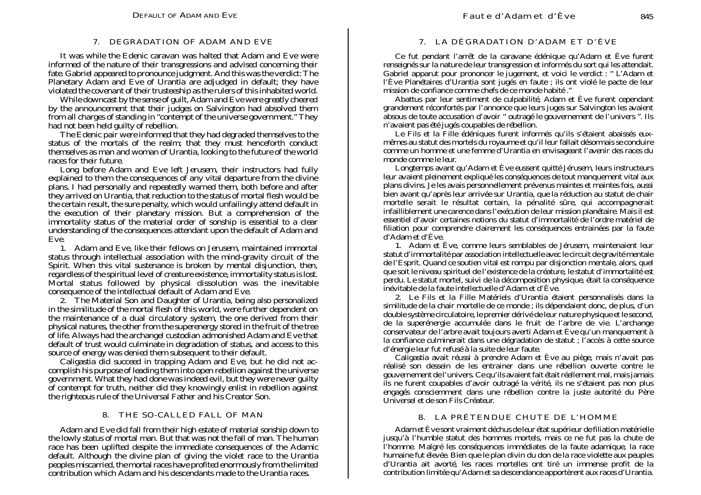#### 7. DEGRADATION OF ADAM AND EVE

It was while the Edenic caravan was halted that Adam and Eve were informed of the nature of their transgressions and advised concerning their fate. Gabriel appeared to pronounce judgment. And this was the verdict: The Planetary Adam and Eve of Urantia are adjudged in default; they have violated the covenant of their trusteeship as the rulers of this inhabited world.

While downcast by the sense of guilt, Adam and Eve were greatly cheered by the announcement that their judges on Salvington had absolved them from all charges of standing in "contempt of the universe government." They had not been held guilty of rebellion.

The Edenic pair were informed that they had degraded themselves to the status of the mortals of the realm; that they must henceforth conduct themselves as man and woman of Urantia, looking to the future of the world races for their future.

Long before Adam and Eve left Jerusem, their instructors had fully explained to them the consequences of any vital departure from the divine plans. I had personally and repeatedly warned them, both before and after they arrived on Urantia, that reduction to the status of mortal flesh would be the certain result, the sure penalty, which would unfailingly attend default in the execution of their planetary mission. But a comprehension of the immortality status of the material order of sonship is essential to a clear understanding of the consequences attendant upon the default of Adam and Eve.

1. Adam and Eve, like their fellows on Jerusem, maintained immortal status through intellectual association with the mind-gravity circuit of the Spirit. When this vital sustenance is broken by mental disjunction, then, regardless of the spiritual level of creature existence, immortality status is lost. Mortal status followed by physical dissolution was the inevitable consequence of the intellectual default of Adam and Eve.

2. The Material Son and Daughter of Urantia, being also personalized in the similitude of the mortal flesh of this world, were further dependent on the maintenance of a dual circulatory system, the one derived from their physical natures, the other from the superenergy stored in the fruit of the tree of life. Always had the archangel custodian admonished Adam and Eve that default of trust would culminate in degradation of status, and access to this source of energy was denied them subsequent to their default.

Caligastia did succeed in trapping Adam and Eve, but he did not accomplish his purpose of leading them into open rebellion against the universe government. What they had done was indeed evil, but they were never guilty of contempt for truth, neither did they knowingly enlist in rebellion against the righteous rule of the Universal Father and his Creator Son.

#### 8. THE SO-CALLED FALL OF MAN

Adam and Eve did fall from their high estate of material sonship down to the lowly status of mortal man. But that was not the fall of man. The human race has been uplifted despite the immediate consequences of the Adamic default. Although the divine plan of giving the violet race to the Urantia peoples miscarried, the mortal races have profited enormously from the limited contribution which Adam and his descendants made to the Urantia races.

# 7. LA DÉGRADATION D'ADAM ET D'ÈVE

Ce fut pendant l'arrêt de la caravane édénique qu'Adam et Ève furent renseignés sur la nature de leur transgression et informés du sort qui les attendait. Gabriel apparut pour prononcer le jugement, et voici le verdict : " L'Adam et l'Ève Planétaires d'Urantia sont jugés en faute ; ils ont violé le pacte de leur mission de confiance comme chefs de ce monde habité ."

Abattus par leur sentiment de culpabilité, Adam et Ève furent cependant grandement réconfortés par l'annonce que leurs juges sur Salvington les avaient absous de toute accusation d'avoir " outragé le gouvernement de l'univers ". Ils <sup>n</sup>'avaient pas été jugés coupables de rébellion.

Le Fils et la Fille édéniques furent informés qu'ils s'étaient abaissés euxmêmes au statut des mortels du royaume et qu'il leur fallait désormais se conduire comme un homme et une femme d'Urantia en envisageant l'avenir des races du monde comme le leur.

Longtemps avant qu'Adam et Ève eussent quitté Jérusem, leurs instructeurs leur avaient pleinement expliqué les conséquences de tout manquement vital aux plans divins. Je les avais personnellement prévenus maintes et maintes fois, aussi bien avant qu'après leur arrivée sur Urantia, que la réduction au statut de chair mortelle serait le résultat certain, la pénalité sûre, qui accompagnerait infailliblement une carence dans l'exécution de leur mission planétaire. Mais il est essentiel d'avoir certaines notions du statut d'immortalité de l'ordre matériel de filiation pour comprendre clairement les conséquences entrainées par la faute d'Adam et d'Ève.

1. Adam et Ève, comme leurs semblables de Jérusem, maintenaient leur statut d'immortalité par association intellectuelle avec le circuit de gravité mentale de l'Esprit. Quand ce soutien vital est rompu par disjonction mentale, alors, quel que soit le niveau spirituel de l'existence de la créature, le statut d'immortalité est perdu. Le statut mortel, suivi de la décomposition physique, était la conséquence inévitable de la faute intellectuelle d'Adam et d'Ève.

2. Le Fils et la Fille Matériels d'Urantia étaient personnalisés dans la similitude de la chair mortelle de ce monde ; ils dépendaient donc, de plus, d'un double système circulatoire, le premier dérivé de leur nature physique et le second, de la superénergie accumulée dans le fruit de l'arbre de vie. L'archange conservateur de l'arbre avait toujours averti Adam et Ève qu'un manquement à la confiance culminerait dans une dégradation de statut ; l'accès à cette source

d'énergie leur fut refusé à la suite de leur faute. Caligastia avait réussi à prendre Adam et Ève au piège, mais n'avait pas réalisé son dessein de les entrainer dans une rébellion ouverte contre le gouvernement de l'univers. Ce qu'ils avaient fait était réellement mal, mais jamais ils ne furent coupables d'avoir outragé la vérité, ils ne s'étaient pas non plus engagés consciemment dans une rébellion contre la juste autorité du Père Universel et de son Fils Créateur.

#### 8. LA PRÉTENDUE CHUTE DE L'HOMME

Adam et Ève sont vraiment déchus de leur état supérieur de filiation matérielle jusqu'à l'humble statut des hommes mortels, mais ce ne fut pas la chute de l'homme. Malgré les conséquences immédiates de la faute adamique, la race humaine fut élevée. Bien que le plan divin du don de la race violette aux peuples d'Urantia ait avorté, les races mortelles ont tiré un immense profit de la contribution limitée qu'Adam et sa descendance apportèrent aux races d'Urantia.